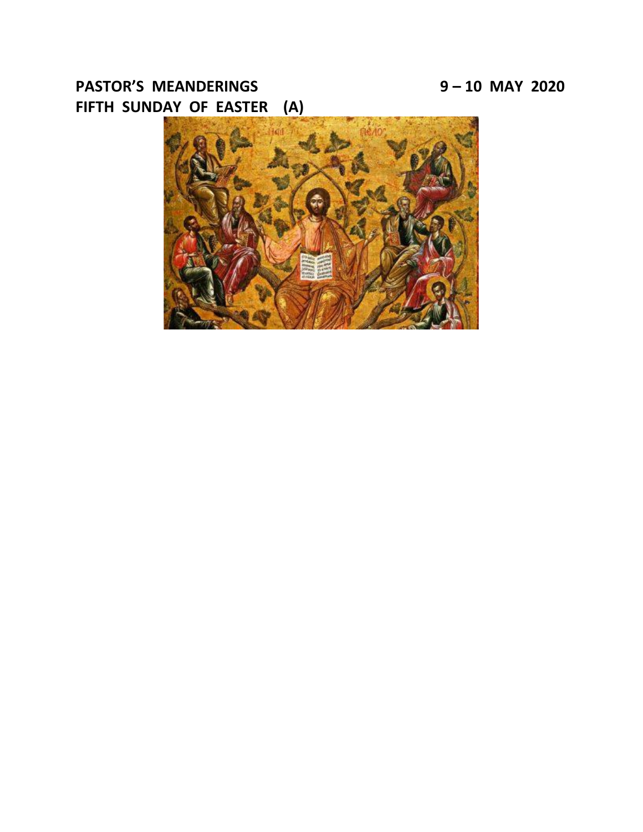# **PASTOR'S MEANDERINGS 9 – 10 MAY 2020 FIFTH SUNDAY OF EASTER (A)**

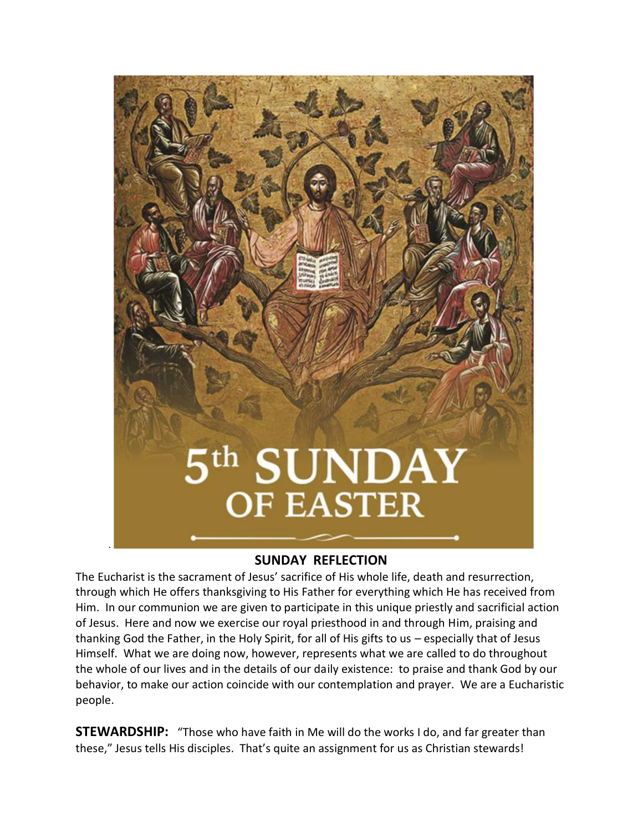

### **SUNDAY REFLECTION**

The Eucharist is the sacrament of Jesus' sacrifice of His whole life, death and resurrection, through which He offers thanksgiving to His Father for everything which He has received from Him. In our communion we are given to participate in this unique priestly and sacrificial action of Jesus. Here and now we exercise our royal priesthood in and through Him, praising and thanking God the Father, in the Holy Spirit, for all of His gifts to us – especially that of Jesus Himself. What we are doing now, however, represents what we are called to do throughout the whole of our lives and in the details of our daily existence: to praise and thank God by our behavior, to make our action coincide with our contemplation and prayer. We are a Eucharistic people.

**STEWARDSHIP:** "Those who have faith in Me will do the works I do, and far greater than these," Jesus tells His disciples. That's quite an assignment for us as Christian stewards!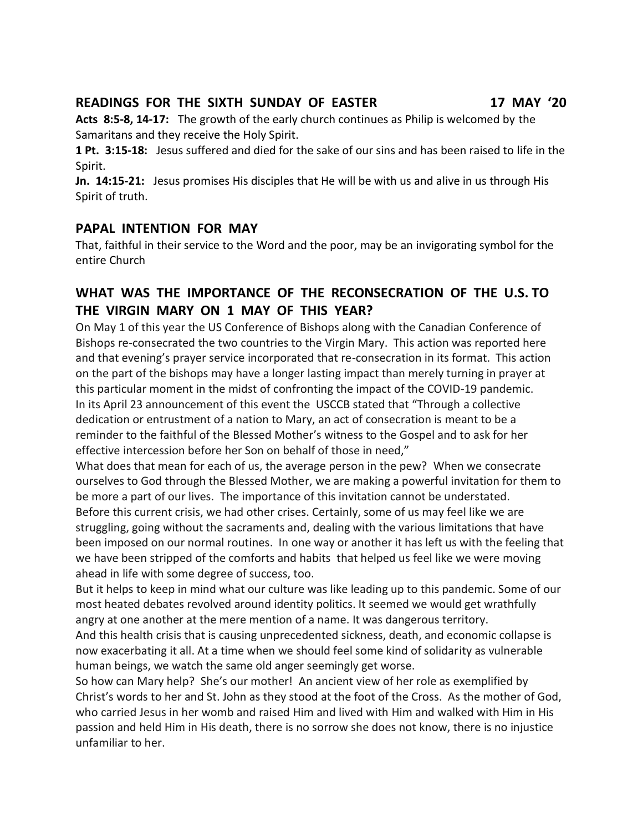### **READINGS FOR THE SIXTH SUNDAY OF EASTER 17 MAY '20**

**Acts 8:5-8, 14-17:** The growth of the early church continues as Philip is welcomed by the Samaritans and they receive the Holy Spirit.

**1 Pt. 3:15-18:** Jesus suffered and died for the sake of our sins and has been raised to life in the Spirit.

**Jn. 14:15-21:** Jesus promises His disciples that He will be with us and alive in us through His Spirit of truth.

### **PAPAL INTENTION FOR MAY**

That, faithful in their service to the Word and the poor, may be an invigorating symbol for the entire Church

## **WHAT WAS THE IMPORTANCE OF THE RECONSECRATION OF THE U.S. TO THE VIRGIN MARY ON 1 MAY OF THIS YEAR?**

On May 1 of this year the US Conference of Bishops along with the Canadian Conference of Bishops re-consecrated the two countries to the Virgin Mary. This action was reported here and that evening's prayer service incorporated that re-consecration in its format. This action on the part of the bishops may have a longer lasting impact than merely turning in prayer at this particular moment in the midst of confronting the impact of the COVID-19 pandemic. In its April 23 announcement of this event the USCCB stated that "Through a collective dedication or entrustment of a nation to Mary, an act of consecration is meant to be a reminder to the faithful of the Blessed Mother's witness to the Gospel and to ask for her effective intercession before her Son on behalf of those in need,"

What does that mean for each of us, the average person in the pew? When we consecrate ourselves to God through the Blessed Mother, we are making a powerful invitation for them to be more a part of our lives. The importance of this invitation cannot be understated. Before this current crisis, we had other crises. Certainly, some of us may feel like we are struggling, going without the sacraments and, dealing with the various limitations that have been imposed on our normal routines. In one way or another it has left us with the feeling that we have been stripped of the comforts and habits that helped us feel like we were moving ahead in life with some degree of success, too.

But it helps to keep in mind what our culture was like leading up to this pandemic. Some of our most heated debates revolved around identity politics. It seemed we would get wrathfully angry at one another at the mere mention of a name. It was dangerous territory.

And this health crisis that is causing unprecedented sickness, death, and economic collapse is now exacerbating it all. At a time when we should feel some kind of solidarity as vulnerable human beings, we watch the same old anger seemingly get worse.

So how can Mary help? She's our mother! An ancient view of her role as exemplified by Christ's words to her and St. John as they stood at the foot of the Cross. As the mother of God, who carried Jesus in her womb and raised Him and lived with Him and walked with Him in His passion and held Him in His death, there is no sorrow she does not know, there is no injustice unfamiliar to her.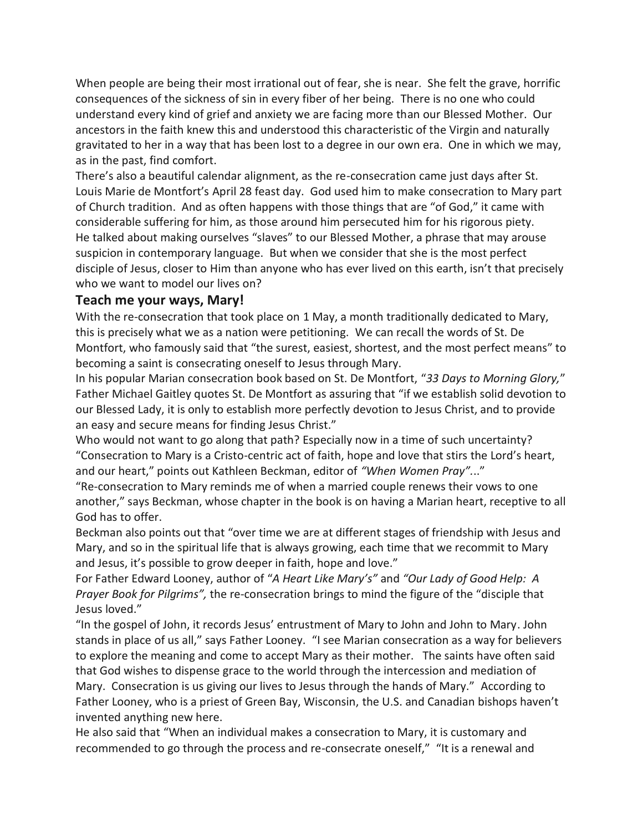When people are being their most irrational out of fear, she is near. She felt the grave, horrific consequences of the sickness of sin in every fiber of her being. There is no one who could understand every kind of grief and anxiety we are facing more than our Blessed Mother. Our ancestors in the faith knew this and understood this characteristic of the Virgin and naturally gravitated to her in a way that has been lost to a degree in our own era. One in which we may, as in the past, find comfort.

There's also a beautiful calendar alignment, as the re-consecration came just days after St. Louis Marie de Montfort's April 28 feast day. God used him to make consecration to Mary part of Church tradition. And as often happens with those things that are "of God," it came with considerable suffering for him, as those around him persecuted him for his rigorous piety. He talked about making ourselves "slaves" to our Blessed Mother, a phrase that may arouse suspicion in contemporary language. But when we consider that she is the most perfect disciple of Jesus, closer to Him than anyone who has ever lived on this earth, isn't that precisely who we want to model our lives on?

### **Teach me your ways, Mary!**

With the re-consecration that took place on 1 May, a month traditionally dedicated to Mary, this is precisely what we as a nation were petitioning. We can recall the words of St. De Montfort, who famously said that "the surest, easiest, shortest, and the most perfect means" to becoming a saint is consecrating oneself to Jesus through Mary.

In his popular Marian consecration book based on St. De Montfort, "*33 Days to Morning Glory,*" Father Michael Gaitley quotes St. De Montfort as assuring that "if we establish solid devotion to our Blessed Lady, it is only to establish more perfectly devotion to Jesus Christ, and to provide an easy and secure means for finding Jesus Christ."

Who would not want to go along that path? Especially now in a time of such uncertainty? "Consecration to Mary is a Cristo-centric act of faith, hope and love that stirs the Lord's heart, and our heart," points out Kathleen Beckman, editor of *"When Women Pray".*.."

"Re-consecration to Mary reminds me of when a married couple renews their vows to one another," says Beckman, whose chapter in the book is on having a Marian heart, receptive to all God has to offer.

Beckman also points out that "over time we are at different stages of friendship with Jesus and Mary, and so in the spiritual life that is always growing, each time that we recommit to Mary and Jesus, it's possible to grow deeper in faith, hope and love."

For Father Edward Looney, author of "*A Heart Like Mary's"* and *"Our Lady of Good Help: A Prayer Book for Pilgrims",* the re-consecration brings to mind the figure of the "disciple that Jesus loved."

"In the gospel of John, it records Jesus' entrustment of Mary to John and John to Mary. John stands in place of us all," says Father Looney. "I see Marian consecration as a way for believers to explore the meaning and come to accept Mary as their mother. The saints have often said that God wishes to dispense grace to the world through the intercession and mediation of Mary. Consecration is us giving our lives to Jesus through the hands of Mary." According to Father Looney, who is a priest of Green Bay, Wisconsin, the U.S. and Canadian bishops haven't invented anything new here.

He also said that "When an individual makes a consecration to Mary, it is customary and recommended to go through the process and re-consecrate oneself," "It is a renewal and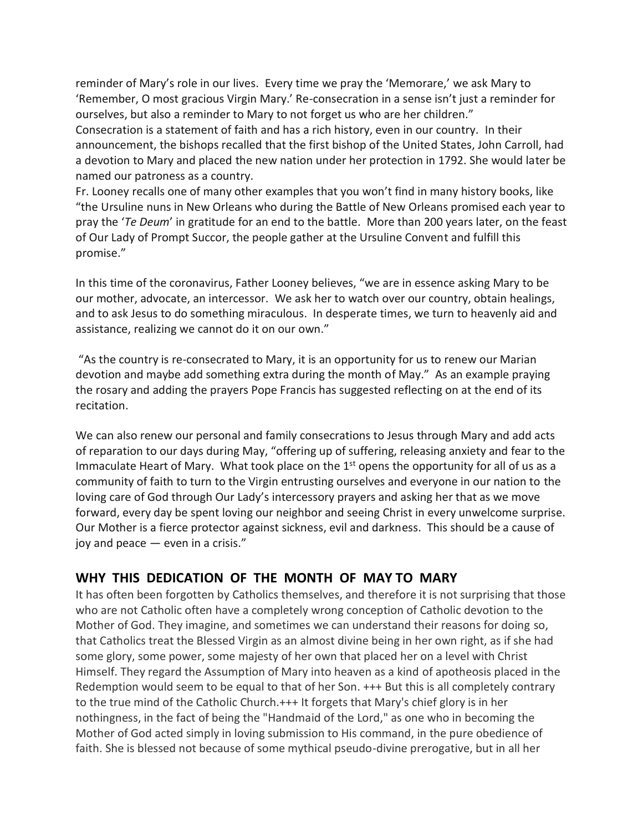reminder of Mary's role in our lives. Every time we pray the 'Memorare,' we ask Mary to 'Remember, O most gracious Virgin Mary.' Re-consecration in a sense isn't just a reminder for ourselves, but also a reminder to Mary to not forget us who are her children."

Consecration is a statement of faith and has a rich history, even in our country. In their announcement, the bishops recalled that the first bishop of the United States, John Carroll, had a devotion to Mary and placed the new nation under her protection in 1792. She would later be named our patroness as a country.

Fr. Looney recalls one of many other examples that you won't find in many history books, like "the Ursuline nuns in New Orleans who during the Battle of New Orleans promised each year to pray the '*Te Deum*' in gratitude for an end to the battle. More than 200 years later, on the feast of Our Lady of Prompt Succor, the people gather at the Ursuline Convent and fulfill this promise."

In this time of the coronavirus, Father Looney believes, "we are in essence asking Mary to be our mother, advocate, an intercessor. We ask her to watch over our country, obtain healings, and to ask Jesus to do something miraculous. In desperate times, we turn to heavenly aid and assistance, realizing we cannot do it on our own."

"As the country is re-consecrated to Mary, it is an opportunity for us to renew our Marian devotion and maybe add something extra during the month of May." As an example praying the rosary and adding the prayers Pope Francis has suggested reflecting on at the end of its recitation.

We can also renew our personal and family consecrations to Jesus through Mary and add acts of reparation to our days during May, "offering up of suffering, releasing anxiety and fear to the Immaculate Heart of Mary. What took place on the  $1<sup>st</sup>$  opens the opportunity for all of us as a community of faith to turn to the Virgin entrusting ourselves and everyone in our nation to the loving care of God through Our Lady's intercessory prayers and asking her that as we move forward, every day be spent loving our neighbor and seeing Christ in every unwelcome surprise. Our Mother is a fierce protector against sickness, evil and darkness. This should be a cause of joy and peace — even in a crisis."

### **WHY THIS DEDICATION OF THE MONTH OF MAY TO MARY**

It has often been forgotten by Catholics themselves, and therefore it is not surprising that those who are not Catholic often have a completely wrong conception of Catholic devotion to the Mother of God. They imagine, and sometimes we can understand their reasons for doing so, that Catholics treat the Blessed Virgin as an almost divine being in her own right, as if she had some glory, some power, some majesty of her own that placed her on a level with Christ Himself. They regard the Assumption of Mary into heaven as a kind of apotheosis placed in the Redemption would seem to be equal to that of her Son. +++ But this is all completely contrary to the true mind of the Catholic Church.+++ It forgets that Mary's chief glory is in her nothingness, in the fact of being the "Handmaid of the Lord," as one who in becoming the Mother of God acted simply in loving submission to His command, in the pure obedience of faith. She is blessed not because of some mythical pseudo-divine prerogative, but in all her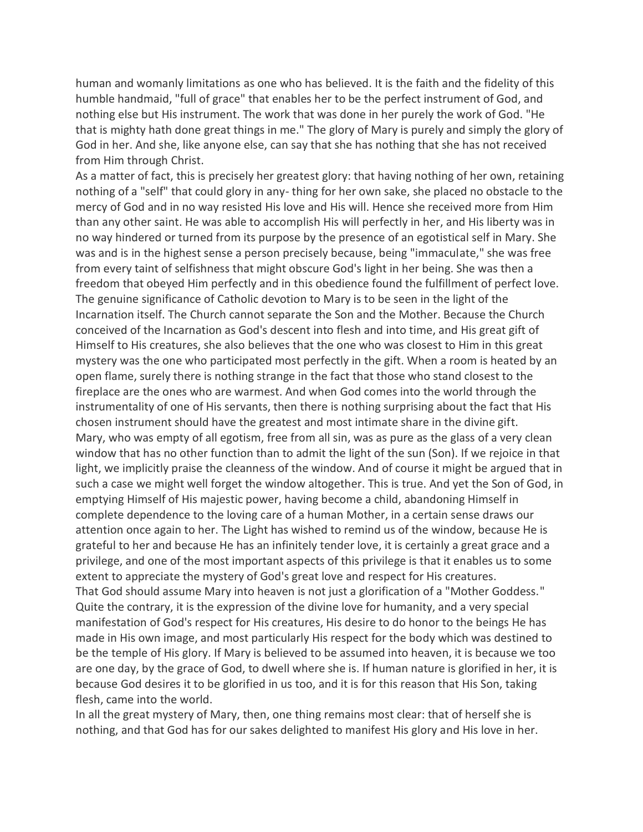human and womanly limitations as one who has believed. It is the faith and the fidelity of this humble handmaid, "full of grace" that enables her to be the perfect instrument of God, and nothing else but His instrument. The work that was done in her purely the work of God. "He that is mighty hath done great things in me." The glory of Mary is purely and simply the glory of God in her. And she, like anyone else, can say that she has nothing that she has not received from Him through Christ.

As a matter of fact, this is precisely her greatest glory: that having nothing of her own, retaining nothing of a "self" that could glory in any- thing for her own sake, she placed no obstacle to the mercy of God and in no way resisted His love and His will. Hence she received more from Him than any other saint. He was able to accomplish His will perfectly in her, and His liberty was in no way hindered or turned from its purpose by the presence of an egotistical self in Mary. She was and is in the highest sense a person precisely because, being "immaculate," she was free from every taint of selfishness that might obscure God's light in her being. She was then a freedom that obeyed Him perfectly and in this obedience found the fulfillment of perfect love. The genuine significance of Catholic devotion to Mary is to be seen in the light of the Incarnation itself. The Church cannot separate the Son and the Mother. Because the Church conceived of the Incarnation as God's descent into flesh and into time, and His great gift of Himself to His creatures, she also believes that the one who was closest to Him in this great mystery was the one who participated most perfectly in the gift. When a room is heated by an open flame, surely there is nothing strange in the fact that those who stand closest to the fireplace are the ones who are warmest. And when God comes into the world through the instrumentality of one of His servants, then there is nothing surprising about the fact that His chosen instrument should have the greatest and most intimate share in the divine gift. Mary, who was empty of all egotism, free from all sin, was as pure as the glass of a very clean window that has no other function than to admit the light of the sun (Son). If we rejoice in that light, we implicitly praise the cleanness of the window. And of course it might be argued that in such a case we might well forget the window altogether. This is true. And yet the Son of God, in emptying Himself of His majestic power, having become a child, abandoning Himself in complete dependence to the loving care of a human Mother, in a certain sense draws our attention once again to her. The Light has wished to remind us of the window, because He is grateful to her and because He has an infinitely tender love, it is certainly a great grace and a privilege, and one of the most important aspects of this privilege is that it enables us to some extent to appreciate the mystery of God's great love and respect for His creatures. That God should assume Mary into heaven is not just a glorification of a "Mother Goddess." Quite the contrary, it is the expression of the divine love for humanity, and a very special manifestation of God's respect for His creatures, His desire to do honor to the beings He has made in His own image, and most particularly His respect for the body which was destined to be the temple of His glory. If Mary is believed to be assumed into heaven, it is because we too are one day, by the grace of God, to dwell where she is. If human nature is glorified in her, it is because God desires it to be glorified in us too, and it is for this reason that His Son, taking flesh, came into the world.

In all the great mystery of Mary, then, one thing remains most clear: that of herself she is nothing, and that God has for our sakes delighted to manifest His glory and His love in her.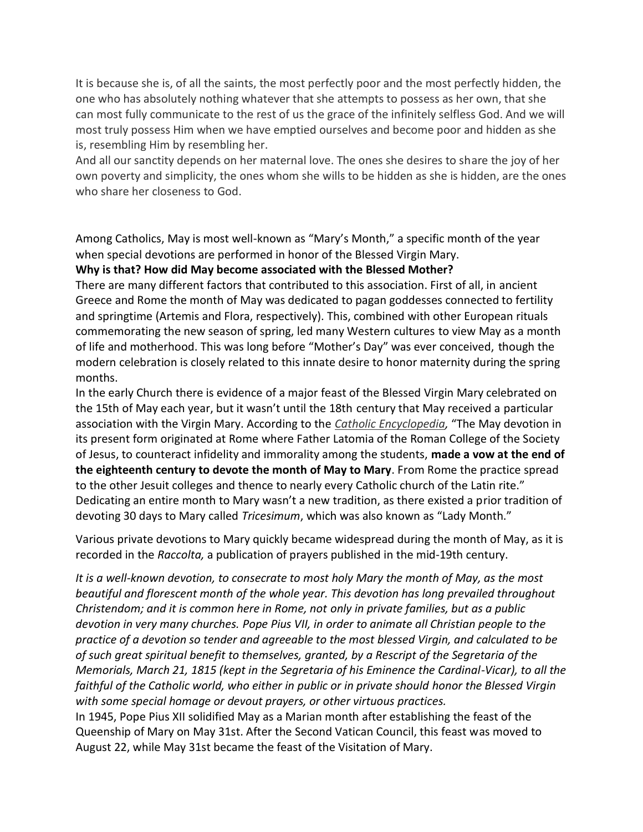It is because she is, of all the saints, the most perfectly poor and the most perfectly hidden, the one who has absolutely nothing whatever that she attempts to possess as her own, that she can most fully communicate to the rest of us the grace of the infinitely selfless God. And we will most truly possess Him when we have emptied ourselves and become poor and hidden as she is, resembling Him by resembling her.

And all our sanctity depends on her maternal love. The ones she desires to share the joy of her own poverty and simplicity, the ones whom she wills to be hidden as she is hidden, are the ones who share her closeness to God.

Among Catholics, May is most well-known as "Mary's Month," a specific month of the year when special devotions are performed in honor of the Blessed Virgin Mary.

#### **Why is that? How did May become associated with the Blessed Mother?**

There are many different factors that contributed to this association. First of all, in ancient Greece and Rome the month of May was dedicated to pagan goddesses connected to fertility and springtime (Artemis and Flora, respectively). This, combined with other European rituals commemorating the new season of spring, led many Western cultures to view May as a month of life and motherhood. This was long before "Mother's Day" was ever conceived, though the modern celebration is closely related to this innate desire to honor maternity during the spring months.

In the early Church there is evidence of a major feast of the Blessed Virgin Mary celebrated on the 15th of May each year, but it wasn't until the 18th century that May received a particular association with the Virgin Mary. According to the *Catholic [Encyclopedia,](http://www.newadvent.org/cathen/10542a.htm)* "The May devotion in its present form originated at Rome where Father Latomia of the Roman College of the Society of Jesus, to counteract infidelity and immorality among the students, **made a vow at the end of the eighteenth century to devote the month of May to Mary**. From Rome the practice spread to the other Jesuit colleges and thence to nearly every Catholic church of the Latin rite." Dedicating an entire month to Mary wasn't a new tradition, as there existed a prior tradition of devoting 30 days to Mary called *Tricesimum*, which was also known as "Lady Month."

Various private devotions to Mary quickly became widespread during the month of May, as it is recorded in the *Raccolta,* a publication of prayers published in the mid-19th century.

*It is a well-known devotion, to consecrate to most holy Mary the month of May, as the most beautiful and florescent month of the whole year. This devotion has long prevailed throughout Christendom; and it is common here in Rome, not only in private families, but as a public devotion in very many churches. Pope Pius VII, in order to animate all Christian people to the practice of a devotion so tender and agreeable to the most blessed Virgin, and calculated to be of such great spiritual benefit to themselves, granted, by a Rescript of the Segretaria of the Memorials, March 21, 1815 (kept in the Segretaria of his Eminence the Cardinal-Vicar), to all the faithful of the Catholic world, who either in public or in private should honor the Blessed Virgin with some special homage or devout prayers, or other virtuous practices.*

In 1945, Pope Pius XII solidified May as a Marian month after establishing the feast of the Queenship of Mary on May 31st. After the Second Vatican Council, this feast was moved to August 22, while May 31st became the feast of the Visitation of Mary.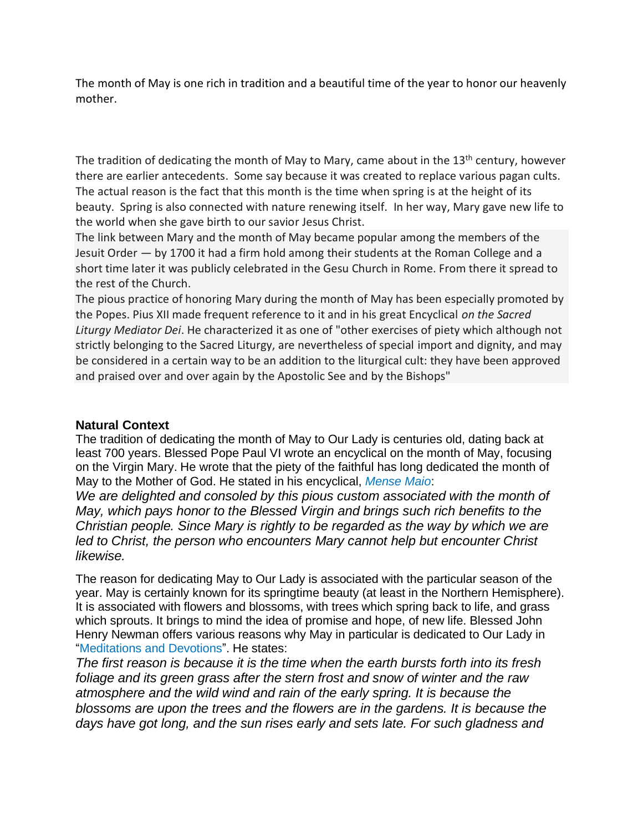The month of May is one rich in tradition and a beautiful time of the year to honor our heavenly mother.

The tradition of dedicating the month of May to Mary, came about in the  $13<sup>th</sup>$  century, however there are earlier antecedents. Some say because it was created to replace various pagan cults. The actual reason is the fact that this month is the time when spring is at the height of its beauty. Spring is also connected with nature renewing itself. In her way, Mary gave new life to the world when she gave birth to our savior Jesus Christ.

The link between Mary and the month of May became popular among the members of the Jesuit Order — by 1700 it had a firm hold among their students at the Roman College and a short time later it was publicly celebrated in the Gesu Church in Rome. From there it spread to the rest of the Church.

The pious practice of honoring Mary during the month of May has been especially promoted by the Popes. Pius XII made frequent reference to it and in his great Encyclical *on the Sacred Liturgy Mediator Dei*. He characterized it as one of "other exercises of piety which although not strictly belonging to the Sacred Liturgy, are nevertheless of special import and dignity, and may be considered in a certain way to be an addition to the liturgical cult: they have been approved and praised over and over again by the Apostolic See and by the Bishops"

### **Natural Context**

The tradition of dedicating the month of May to Our Lady is centuries old, dating back at least 700 years. Blessed Pope Paul VI wrote an encyclical on the month of May, focusing on the Virgin Mary. He wrote that the piety of the faithful has long dedicated the month of May to the Mother of God. He stated in his encyclical, *[Mense](http://w2.vatican.va/content/paul-vi/en/encyclicals/documents/hf_p-vi_enc_29041965_mense-maio.html) Maio*:

*We are delighted and consoled by this pious custom associated with the month of May, which pays honor to the Blessed Virgin and brings such rich benefits to the Christian people. Since Mary is rightly to be regarded as the way by which we are led to Christ, the person who encounters Mary cannot help but encounter Christ likewise.*

The reason for dedicating May to Our Lady is associated with the particular season of the year. May is certainly known for its springtime beauty (at least in the Northern Hemisphere). It is associated with flowers and blossoms, with trees which spring back to life, and grass which sprouts. It brings to mind the idea of promise and hope, of new life. Blessed John Henry Newman offers various reasons why May in particular is dedicated to Our Lady in ["Meditations](http://sourcebooks.fordham.edu/mod/newman-mary.asp) and Devotions". He states:

*The first reason is because it is the time when the earth bursts forth into its fresh foliage and its green grass after the stern frost and snow of winter and the raw atmosphere and the wild wind and rain of the early spring. It is because the blossoms are upon the trees and the flowers are in the gardens. It is because the days have got long, and the sun rises early and sets late. For such gladness and*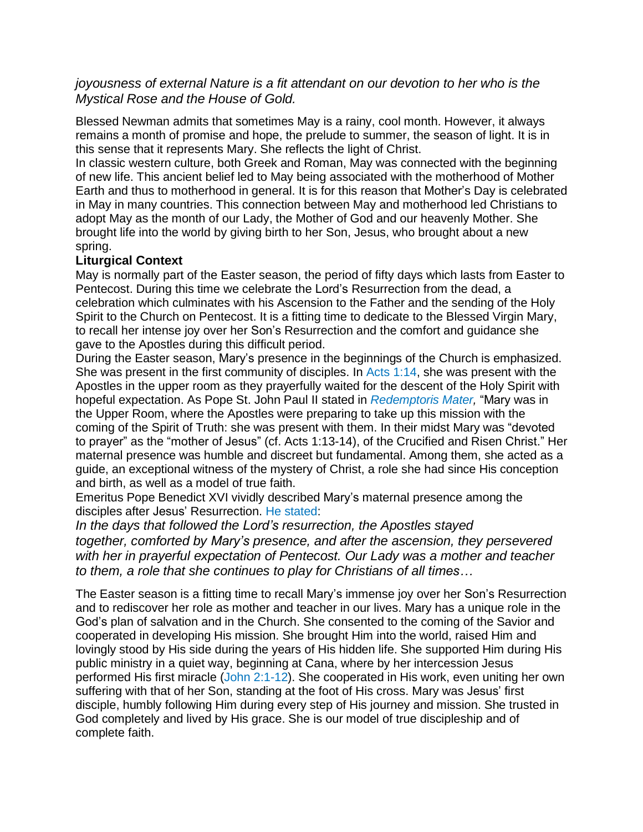### *joyousness of external Nature is a fit attendant on our devotion to her who is the Mystical Rose and the House of Gold.*

Blessed Newman admits that sometimes May is a rainy, cool month. However, it always remains a month of promise and hope, the prelude to summer, the season of light. It is in this sense that it represents Mary. She reflects the light of Christ.

In classic western culture, both Greek and Roman, May was connected with the beginning of new life. This ancient belief led to May being associated with the motherhood of Mother Earth and thus to motherhood in general. It is for this reason that Mother's Day is celebrated in May in many countries. This connection between May and motherhood led Christians to adopt May as the month of our Lady, the Mother of God and our heavenly Mother. She brought life into the world by giving birth to her Son, Jesus, who brought about a new spring.

#### **Liturgical Context**

May is normally part of the Easter season, the period of fifty days which lasts from Easter to Pentecost. During this time we celebrate the Lord's Resurrection from the dead, a celebration which culminates with his Ascension to the Father and the sending of the Holy Spirit to the Church on Pentecost. It is a fitting time to dedicate to the Blessed Virgin Mary, to recall her intense joy over her Son's Resurrection and the comfort and guidance she gave to the Apostles during this difficult period.

During the Easter season, Mary's presence in the beginnings of the Church is emphasized. She was present in the first community of disciples. In Acts [1:14,](http://www.usccb.org/bible/acts/1) she was present with the Apostles in the upper room as they prayerfully waited for the descent of the Holy Spirit with hopeful expectation. As Pope St. John Paul II stated in *[Redemptoris](http://w2.vatican.va/content/john-paul-ii/en/encyclicals/documents/hf_jp-ii_enc_25031987_redemptoris-mater.html) Mater,* "Mary was in the Upper Room, where the Apostles were preparing to take up this mission with the coming of the Spirit of Truth: she was present with them. In their midst Mary was "devoted to prayer" as the "mother of Jesus" (cf. Acts 1:13-14), of the Crucified and Risen Christ." Her maternal presence was humble and discreet but fundamental. Among them, she acted as a guide, an exceptional witness of the mystery of Christ, a role she had since His conception and birth, as well as a model of true faith.

Emeritus Pope Benedict XVI vividly described Mary's maternal presence among the disciples after Jesus' Resurrection. He [stated:](https://books.google.ca/books?id=smFpAgAAQBAJ&pg=PT113&lpg=PT113&dq=april+30+2006+pope+benedict&source=bl&ots=bN1BoE1nE0&sig=mY4GZgIHc3rkZY3ogdy8CKqQtks&hl=en&sa=X&ved=0ahUKEwiO47-ZmqfTAhXH24MKHWOqARUQ6AEIPTAF#v=onepage&q=april%2030%202006%20pope%20benedict&f=false)

*In the days that followed the Lord's resurrection, the Apostles stayed together, comforted by Mary's presence, and after the ascension, they persevered with her in prayerful expectation of Pentecost. Our Lady was a mother and teacher to them, a role that she continues to play for Christians of all times…*

The Easter season is a fitting time to recall Mary's immense joy over her Son's Resurrection and to rediscover her role as mother and teacher in our lives. Mary has a unique role in the God's plan of salvation and in the Church. She consented to the coming of the Savior and cooperated in developing His mission. She brought Him into the world, raised Him and lovingly stood by His side during the years of His hidden life. She supported Him during His public ministry in a quiet way, beginning at Cana, where by her intercession Jesus performed His first miracle (John [2:1-12\)](http://www.usccb.org/bible/john/2). She cooperated in His work, even uniting her own suffering with that of her Son, standing at the foot of His cross. Mary was Jesus' first disciple, humbly following Him during every step of His journey and mission. She trusted in God completely and lived by His grace. She is our model of true discipleship and of complete faith.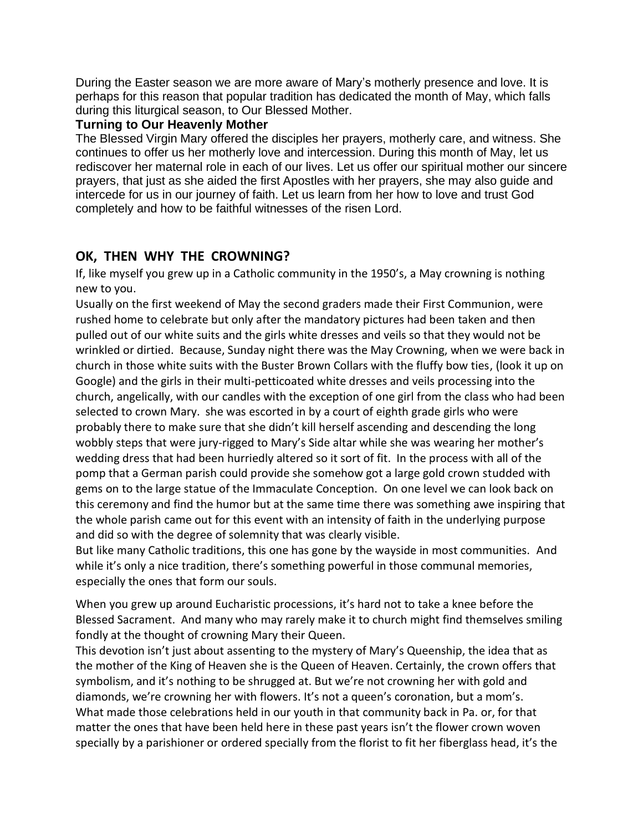During the Easter season we are more aware of Mary's motherly presence and love. It is perhaps for this reason that popular tradition has dedicated the month of May, which falls during this liturgical season, to Our Blessed Mother.

#### **Turning to Our Heavenly Mother**

The Blessed Virgin Mary offered the disciples her prayers, motherly care, and witness. She continues to offer us her motherly love and intercession. During this month of May, let us rediscover her maternal role in each of our lives. Let us offer our spiritual mother our sincere prayers, that just as she aided the first Apostles with her prayers, she may also guide and intercede for us in our journey of faith. Let us learn from her how to love and trust God completely and how to be faithful witnesses of the risen Lord.

### **OK, THEN WHY THE CROWNING?**

If, like myself you grew up in a Catholic community in the 1950's, a May crowning is nothing new to you.

Usually on the first weekend of May the second graders made their First Communion, were rushed home to celebrate but only after the mandatory pictures had been taken and then pulled out of our white suits and the girls white dresses and veils so that they would not be wrinkled or dirtied. Because, Sunday night there was the May Crowning, when we were back in church in those white suits with the Buster Brown Collars with the fluffy bow ties, (look it up on Google) and the girls in their multi-petticoated white dresses and veils processing into the church, angelically, with our candles with the exception of one girl from the class who had been selected to crown Mary. she was escorted in by a court of eighth grade girls who were probably there to make sure that she didn't kill herself ascending and descending the long wobbly steps that were jury-rigged to Mary's Side altar while she was wearing her mother's wedding dress that had been hurriedly altered so it sort of fit. In the process with all of the pomp that a German parish could provide she somehow got a large gold crown studded with gems on to the large statue of the Immaculate Conception. On one level we can look back on this ceremony and find the humor but at the same time there was something awe inspiring that the whole parish came out for this event with an intensity of faith in the underlying purpose and did so with the degree of solemnity that was clearly visible.

But like many Catholic traditions, this one has gone by the wayside in most communities. And while it's only a nice tradition, there's something powerful in those communal memories, especially the ones that form our souls.

When you grew up around Eucharistic processions, it's hard not to take a knee before the Blessed Sacrament. And many who may rarely make it to church might find themselves smiling fondly at the thought of crowning Mary their Queen.

This devotion isn't just about assenting to the mystery of Mary's Queenship, the idea that as the mother of the King of Heaven she is the Queen of Heaven. Certainly, the crown offers that symbolism, and it's nothing to be shrugged at. But we're not crowning her with gold and diamonds, we're crowning her with flowers. It's not a queen's coronation, but a mom's. What made those celebrations held in our youth in that community back in Pa. or, for that matter the ones that have been held here in these past years isn't the flower crown woven specially by a parishioner or ordered specially from the florist to fit her fiberglass head, it's the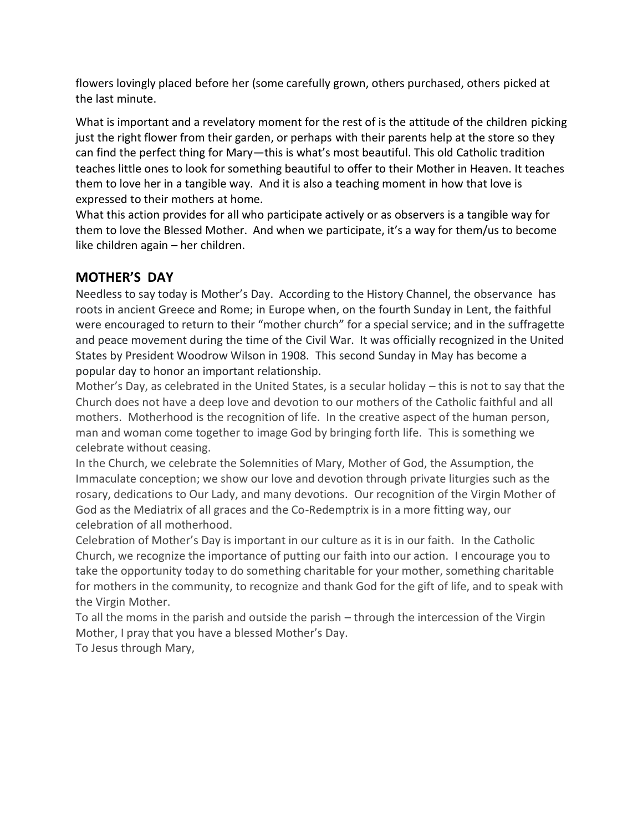flowers lovingly placed before her (some carefully grown, others purchased, others picked at the last minute.

What is important and a revelatory moment for the rest of is the attitude of the children picking just the right flower from their garden, or perhaps with their parents help at the store so they can find the perfect thing for Mary—this is what's most beautiful. This old Catholic tradition teaches little ones to look for something beautiful to offer to their Mother in Heaven. It teaches them to love her in a tangible way. And it is also a teaching moment in how that love is expressed to their mothers at home.

What this action provides for all who participate actively or as observers is a tangible way for them to love the Blessed Mother. And when we participate, it's a way for them/us to become like children again – her children.

### **MOTHER'S DAY**

Needless to say today is Mother's Day. According to the History Channel, the observance has roots in ancient Greece and Rome; in Europe when, on the fourth Sunday in Lent, the faithful were encouraged to return to their "mother church" for a special service; and in the suffragette and peace movement during the time of the Civil War. It was officially recognized in the United States by President Woodrow Wilson in 1908. This second Sunday in May has become a popular day to honor an important relationship.

Mother's Day, as celebrated in the United States, is a secular holiday – this is not to say that the Church does not have a deep love and devotion to our mothers of the Catholic faithful and all mothers. Motherhood is the recognition of life. In the creative aspect of the human person, man and woman come together to image God by bringing forth life. This is something we celebrate without ceasing.

In the Church, we celebrate the Solemnities of Mary, Mother of God, the Assumption, the Immaculate conception; we show our love and devotion through private liturgies such as the rosary, dedications to Our Lady, and many devotions. Our recognition of the Virgin Mother of God as the Mediatrix of all graces and the Co-Redemptrix is in a more fitting way, our celebration of all motherhood.

Celebration of Mother's Day is important in our culture as it is in our faith. In the Catholic Church, we recognize the importance of putting our faith into our action. I encourage you to take the opportunity today to do something charitable for your mother, something charitable for mothers in the community, to recognize and thank God for the gift of life, and to speak with the Virgin Mother.

To all the moms in the parish and outside the parish – through the intercession of the Virgin Mother, I pray that you have a blessed Mother's Day.

To Jesus through Mary,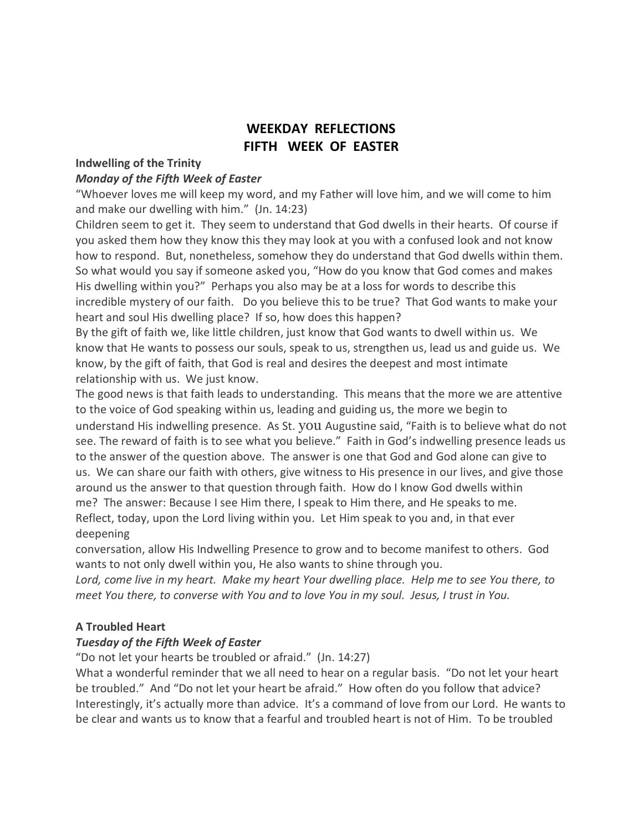## **WEEKDAY REFLECTIONS FIFTH WEEK OF EASTER**

#### **Indwelling of the Trinity**

#### *Monday of the Fifth Week of Easter*

"Whoever loves me will keep my word, and my Father will love him, and we will come to him and make our dwelling with him." (Jn. 14:23)

Children seem to get it. They seem to understand that God dwells in their hearts. Of course if you asked them how they know this they may look at you with a confused look and not know how to respond. But, nonetheless, somehow they do understand that God dwells within them. So what would you say if someone asked you, "How do you know that God comes and makes His dwelling within you?" Perhaps you also may be at a loss for words to describe this incredible mystery of our faith. Do you believe this to be true? That God wants to make your heart and soul His dwelling place? If so, how does this happen?

By the gift of faith we, like little children, just know that God wants to dwell within us. We know that He wants to possess our souls, speak to us, strengthen us, lead us and guide us. We know, by the gift of faith, that God is real and desires the deepest and most intimate relationship with us. We just know.

The good news is that faith leads to understanding. This means that the more we are attentive to the voice of God speaking within us, leading and guiding us, the more we begin to understand His indwelling presence. As St. you Augustine said, "Faith is to believe what do not see. The reward of faith is to see what you believe." Faith in God's indwelling presence leads us to the answer of the question above. The answer is one that God and God alone can give to us. We can share our faith with others, give witness to His presence in our lives, and give those around us the answer to that question through faith. How do I know God dwells within me? The answer: Because I see Him there, I speak to Him there, and He speaks to me. Reflect, today, upon the Lord living within you. Let Him speak to you and, in that ever deepening

conversation, allow His Indwelling Presence to grow and to become manifest to others. God wants to not only dwell within you, He also wants to shine through you.

Lord, come live in my heart. Make my heart Your dwelling place. Help me to see You there, to *meet You there, to converse with You and to love You in my soul. Jesus, I trust in You.*

#### **A Troubled Heart**

#### *Tuesday of the Fifth Week of Easter*

"Do not let your hearts be troubled or afraid." (Jn. 14:27)

What a wonderful reminder that we all need to hear on a regular basis. "Do not let your heart be troubled." And "Do not let your heart be afraid." How often do you follow that advice? Interestingly, it's actually more than advice. It's a command of love from our Lord. He wants to be clear and wants us to know that a fearful and troubled heart is not of Him. To be troubled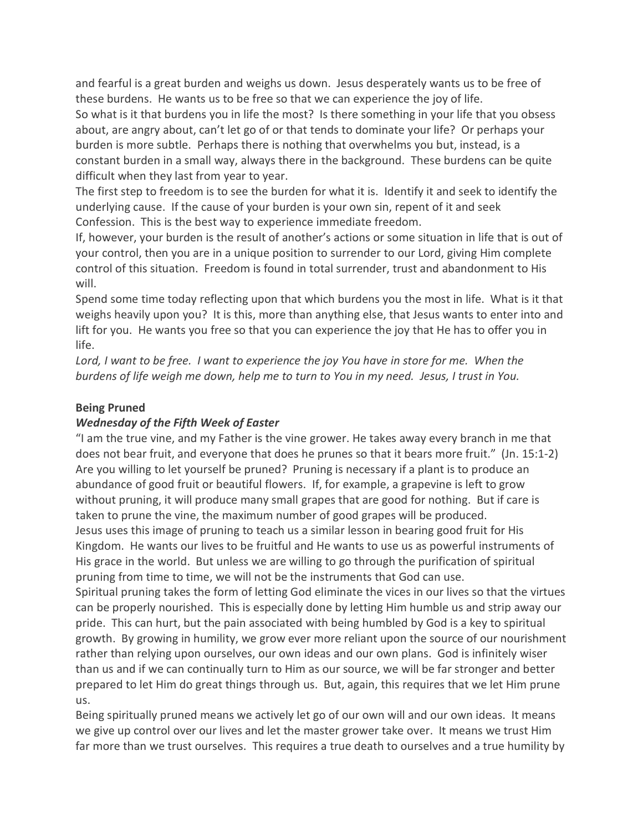and fearful is a great burden and weighs us down. Jesus desperately wants us to be free of these burdens. He wants us to be free so that we can experience the joy of life. So what is it that burdens you in life the most? Is there something in your life that you obsess about, are angry about, can't let go of or that tends to dominate your life? Or perhaps your burden is more subtle. Perhaps there is nothing that overwhelms you but, instead, is a constant burden in a small way, always there in the background. These burdens can be quite difficult when they last from year to year.

The first step to freedom is to see the burden for what it is. Identify it and seek to identify the underlying cause. If the cause of your burden is your own sin, repent of it and seek Confession. This is the best way to experience immediate freedom.

If, however, your burden is the result of another's actions or some situation in life that is out of your control, then you are in a unique position to surrender to our Lord, giving Him complete control of this situation. Freedom is found in total surrender, trust and abandonment to His will.

Spend some time today reflecting upon that which burdens you the most in life. What is it that weighs heavily upon you? It is this, more than anything else, that Jesus wants to enter into and lift for you. He wants you free so that you can experience the joy that He has to offer you in life.

Lord, I want to be free. I want to experience the joy You have in store for me. When the burdens of life weigh me down, help me to turn to You in my need. Jesus, I trust in You.

#### **Being Pruned**

### *Wednesday of the Fifth Week of Easter*

"I am the true vine, and my Father is the vine grower. He takes away every branch in me that does not bear fruit, and everyone that does he prunes so that it bears more fruit." (Jn. 15:1-2) Are you willing to let yourself be pruned? Pruning is necessary if a plant is to produce an abundance of good fruit or beautiful flowers. If, for example, a grapevine is left to grow without pruning, it will produce many small grapes that are good for nothing. But if care is taken to prune the vine, the maximum number of good grapes will be produced. Jesus uses this image of pruning to teach us a similar lesson in bearing good fruit for His Kingdom. He wants our lives to be fruitful and He wants to use us as powerful instruments of His grace in the world. But unless we are willing to go through the purification of spiritual pruning from time to time, we will not be the instruments that God can use.

Spiritual pruning takes the form of letting God eliminate the vices in our lives so that the virtues can be properly nourished. This is especially done by letting Him humble us and strip away our pride. This can hurt, but the pain associated with being humbled by God is a key to spiritual growth. By growing in humility, we grow ever more reliant upon the source of our nourishment rather than relying upon ourselves, our own ideas and our own plans. God is infinitely wiser than us and if we can continually turn to Him as our source, we will be far stronger and better prepared to let Him do great things through us. But, again, this requires that we let Him prune us.

Being spiritually pruned means we actively let go of our own will and our own ideas. It means we give up control over our lives and let the master grower take over. It means we trust Him far more than we trust ourselves. This requires a true death to ourselves and a true humility by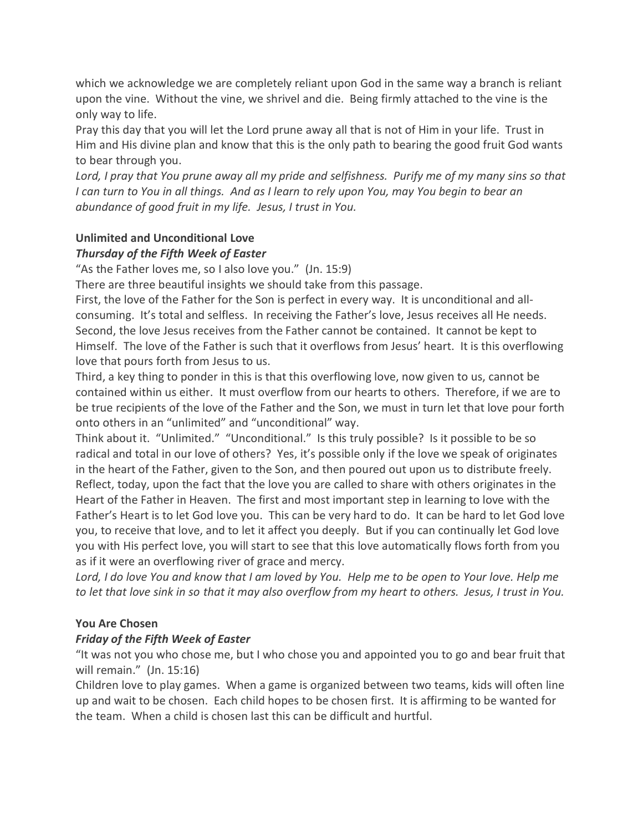which we acknowledge we are completely reliant upon God in the same way a branch is reliant upon the vine. Without the vine, we shrivel and die. Being firmly attached to the vine is the only way to life.

Pray this day that you will let the Lord prune away all that is not of Him in your life. Trust in Him and His divine plan and know that this is the only path to bearing the good fruit God wants to bear through you.

Lord, I pray that You prune away all my pride and selfishness. Purify me of my many sins so that I can turn to You in all things. And as I learn to rely upon You, may You begin to bear an *abundance of good fruit in my life. Jesus, I trust in You.*

### **Unlimited and Unconditional Love**

### *Thursday of the Fifth Week of Easter*

"As the Father loves me, so I also love you." (Jn. 15:9)

There are three beautiful insights we should take from this passage.

First, the love of the Father for the Son is perfect in every way. It is unconditional and allconsuming. It's total and selfless. In receiving the Father's love, Jesus receives all He needs. Second, the love Jesus receives from the Father cannot be contained. It cannot be kept to Himself. The love of the Father is such that it overflows from Jesus' heart. It is this overflowing love that pours forth from Jesus to us.

Third, a key thing to ponder in this is that this overflowing love, now given to us, cannot be contained within us either. It must overflow from our hearts to others. Therefore, if we are to be true recipients of the love of the Father and the Son, we must in turn let that love pour forth onto others in an "unlimited" and "unconditional" way.

Think about it. "Unlimited." "Unconditional." Is this truly possible? Is it possible to be so radical and total in our love of others? Yes, it's possible only if the love we speak of originates in the heart of the Father, given to the Son, and then poured out upon us to distribute freely. Reflect, today, upon the fact that the love you are called to share with others originates in the Heart of the Father in Heaven. The first and most important step in learning to love with the Father's Heart is to let God love you. This can be very hard to do. It can be hard to let God love you, to receive that love, and to let it affect you deeply. But if you can continually let God love you with His perfect love, you will start to see that this love automatically flows forth from you as if it were an overflowing river of grace and mercy.

Lord, I do love You and know that I am loved by You. Help me to be open to Your love. Help me to let that love sink in so that it may also overflow from my heart to others. Jesus, I trust in You.

### **You Are Chosen**

### *Friday of the Fifth Week of Easter*

"It was not you who chose me, but I who chose you and appointed you to go and bear fruit that will remain." (Jn. 15:16)

Children love to play games. When a game is organized between two teams, kids will often line up and wait to be chosen. Each child hopes to be chosen first. It is affirming to be wanted for the team. When a child is chosen last this can be difficult and hurtful.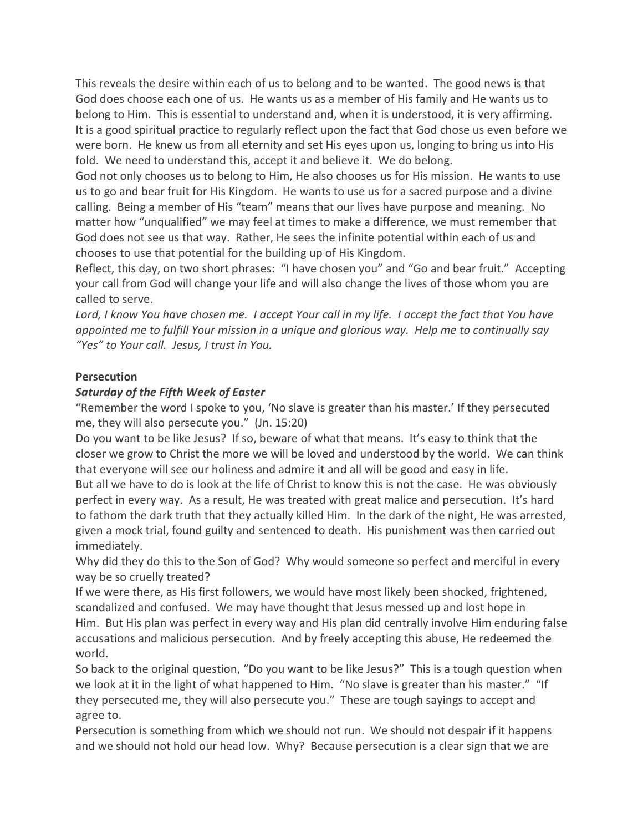This reveals the desire within each of us to belong and to be wanted. The good news is that God does choose each one of us. He wants us as a member of His family and He wants us to belong to Him. This is essential to understand and, when it is understood, it is very affirming. It is a good spiritual practice to regularly reflect upon the fact that God chose us even before we were born. He knew us from all eternity and set His eyes upon us, longing to bring us into His fold. We need to understand this, accept it and believe it. We do belong.

God not only chooses us to belong to Him, He also chooses us for His mission. He wants to use us to go and bear fruit for His Kingdom. He wants to use us for a sacred purpose and a divine calling. Being a member of His "team" means that our lives have purpose and meaning. No matter how "unqualified" we may feel at times to make a difference, we must remember that God does not see us that way. Rather, He sees the infinite potential within each of us and chooses to use that potential for the building up of His Kingdom.

Reflect, this day, on two short phrases: "I have chosen you" and "Go and bear fruit." Accepting your call from God will change your life and will also change the lives of those whom you are called to serve.

Lord, I know You have chosen me. I accept Your call in my life. I accept the fact that You have *appointed me to fulfill Your mission in a unique and glorious way. Help me to continually say "Yes" to Your call. Jesus, I trust in You.*

#### **Persecution**

#### *Saturday of the Fifth Week of Easter*

"Remember the word I spoke to you, 'No slave is greater than his master.' If they persecuted me, they will also persecute you." (Jn. 15:20)

Do you want to be like Jesus? If so, beware of what that means. It's easy to think that the closer we grow to Christ the more we will be loved and understood by the world. We can think that everyone will see our holiness and admire it and all will be good and easy in life.

But all we have to do is look at the life of Christ to know this is not the case. He was obviously perfect in every way. As a result, He was treated with great malice and persecution. It's hard to fathom the dark truth that they actually killed Him. In the dark of the night, He was arrested, given a mock trial, found guilty and sentenced to death. His punishment was then carried out immediately.

Why did they do this to the Son of God? Why would someone so perfect and merciful in every way be so cruelly treated?

If we were there, as His first followers, we would have most likely been shocked, frightened, scandalized and confused. We may have thought that Jesus messed up and lost hope in Him. But His plan was perfect in every way and His plan did centrally involve Him enduring false accusations and malicious persecution. And by freely accepting this abuse, He redeemed the world.

So back to the original question, "Do you want to be like Jesus?" This is a tough question when we look at it in the light of what happened to Him. "No slave is greater than his master." "If they persecuted me, they will also persecute you." These are tough sayings to accept and agree to.

Persecution is something from which we should not run. We should not despair if it happens and we should not hold our head low. Why? Because persecution is a clear sign that we are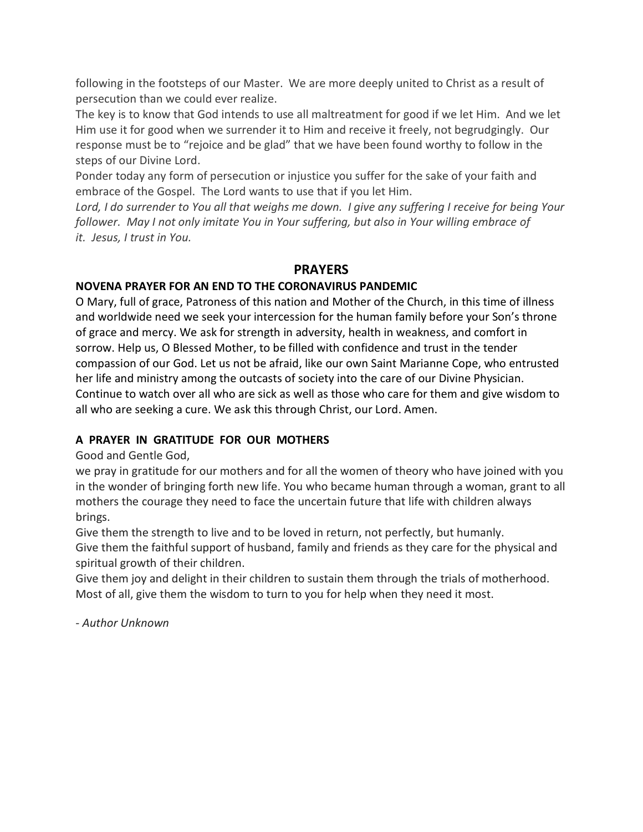following in the footsteps of our Master. We are more deeply united to Christ as a result of persecution than we could ever realize.

The key is to know that God intends to use all maltreatment for good if we let Him. And we let Him use it for good when we surrender it to Him and receive it freely, not begrudgingly. Our response must be to "rejoice and be glad" that we have been found worthy to follow in the steps of our Divine Lord.

Ponder today any form of persecution or injustice you suffer for the sake of your faith and embrace of the Gospel. The Lord wants to use that if you let Him.

Lord, I do surrender to You all that weighs me down. I give any suffering I receive for being Your *follower. May I not only imitate You in Your suffering, but also in Your willing embrace of it. Jesus, I trust in You.*

### **PRAYERS**

### **NOVENA PRAYER FOR AN END TO THE CORONAVIRUS PANDEMIC**

O Mary, full of grace, Patroness of this nation and Mother of the Church, in this time of illness and worldwide need we seek your intercession for the human family before your Son's throne of grace and mercy. We ask for strength in adversity, health in weakness, and comfort in sorrow. Help us, O Blessed Mother, to be filled with confidence and trust in the tender compassion of our God. Let us not be afraid, like our own Saint Marianne Cope, who entrusted her life and ministry among the outcasts of society into the care of our Divine Physician. Continue to watch over all who are sick as well as those who care for them and give wisdom to all who are seeking a cure. We ask this through Christ, our Lord. Amen.

### **A PRAYER IN GRATITUDE FOR OUR MOTHERS**

### Good and Gentle God,

we pray in gratitude for our mothers and for all the women of theory who have joined with you in the wonder of bringing forth new life. You who became human through a woman, grant to all mothers the courage they need to face the uncertain future that life with children always brings.

Give them the strength to live and to be loved in return, not perfectly, but humanly. Give them the faithful support of husband, family and friends as they care for the physical and spiritual growth of their children.

Give them joy and delight in their children to sustain them through the trials of motherhood. Most of all, give them the wisdom to turn to you for help when they need it most.

*- Author Unknown*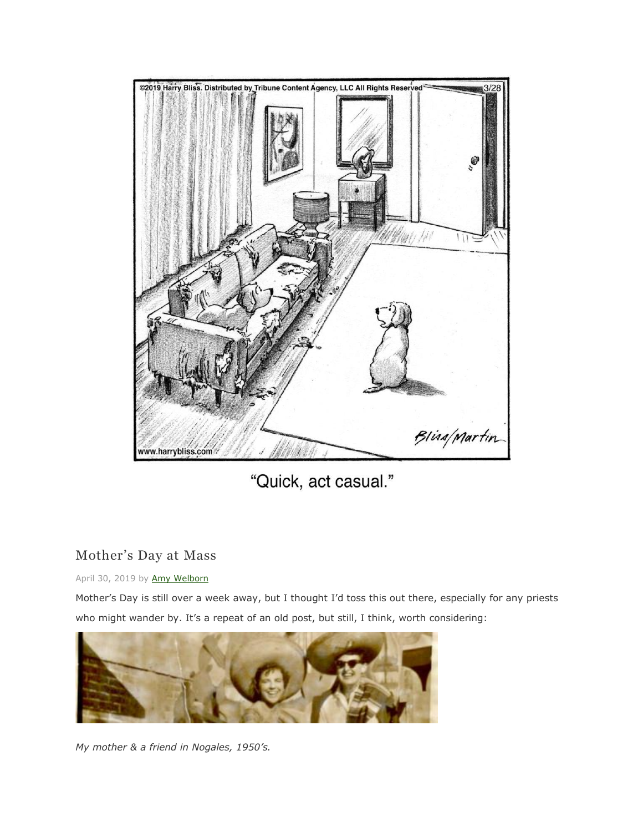

"Quick, act casual."

### Mother's Day at Mass

#### April 30, 2019 by [Amy Welborn](https://amywelborn.wordpress.com/author/amywelborn/)

Mother's Day is still over a week away, but I thought I'd toss this out there, especially for any priests who might wander by. It's a repeat of an old post, but still, I think, worth considering:



*My mother & a friend in Nogales, 1950's.*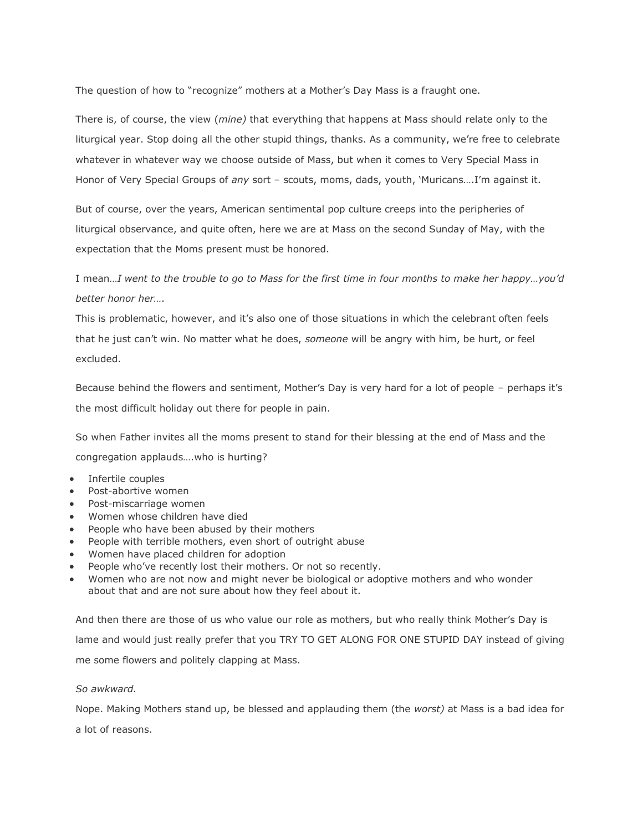The question of how to "recognize" mothers at a Mother's Day Mass is a fraught one.

There is, of course, the view (*mine)* that everything that happens at Mass should relate only to the liturgical year. Stop doing all the other stupid things, thanks. As a community, we're free to celebrate whatever in whatever way we choose outside of Mass, but when it comes to Very Special Mass in Honor of Very Special Groups of *any* sort – scouts, moms, dads, youth, 'Muricans….I'm against it.

But of course, over the years, American sentimental pop culture creeps into the peripheries of liturgical observance, and quite often, here we are at Mass on the second Sunday of May, with the expectation that the Moms present must be honored.

I mean…*I went to the trouble to go to Mass for the first time in four months to make her happy…you'd better honor her….*

This is problematic, however, and it's also one of those situations in which the celebrant often feels that he just can't win. No matter what he does, *someone* will be angry with him, be hurt, or feel excluded.

Because behind the flowers and sentiment, Mother's Day is very hard for a lot of people – perhaps it's the most difficult holiday out there for people in pain.

So when Father invites all the moms present to stand for their blessing at the end of Mass and the congregation applauds….who is hurting?

- Infertile couples
- Post-abortive women
- Post-miscarriage women
- Women whose children have died
- People who have been abused by their mothers
- People with terrible mothers, even short of outright abuse
- Women have placed children for adoption
- People who've recently lost their mothers. Or not so recently.
- Women who are not now and might never be biological or adoptive mothers and who wonder about that and are not sure about how they feel about it.

And then there are those of us who value our role as mothers, but who really think Mother's Day is lame and would just really prefer that you TRY TO GET ALONG FOR ONE STUPID DAY instead of giving me some flowers and politely clapping at Mass.

#### *So awkward.*

Nope. Making Mothers stand up, be blessed and applauding them (the *worst)* at Mass is a bad idea for a lot of reasons.